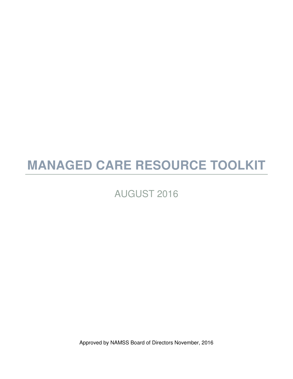# **MANAGED CARE RESOURCE TOOLKIT**

# AUGUST 2016

Approved by NAMSS Board of Directors November, 2016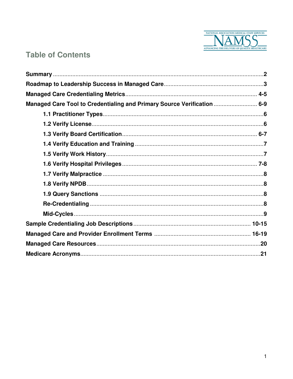

# **Table of Contents**

| Managed Care Tool to Credentialing and Primary Source Verification  6-9 |  |
|-------------------------------------------------------------------------|--|
|                                                                         |  |
|                                                                         |  |
|                                                                         |  |
|                                                                         |  |
|                                                                         |  |
|                                                                         |  |
|                                                                         |  |
|                                                                         |  |
|                                                                         |  |
|                                                                         |  |
|                                                                         |  |
|                                                                         |  |
|                                                                         |  |
|                                                                         |  |
|                                                                         |  |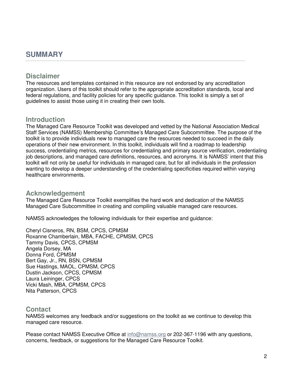### **SUMMARY**

#### **Disclaimer**

The resources and templates contained in this resource are not endorsed by any accreditation organization. Users of this toolkit should refer to the appropriate accreditation standards, local and federal regulations, and facility policies for any specific guidance. This toolkit is simply a set of guidelines to assist those using it in creating their own tools.

#### **Introduction**

The Managed Care Resource Toolkit was developed and vetted by the National Association Medical Staff Services (NAMSS) Membership Committee's Managed Care Subcommittee. The purpose of the toolkit is to provide individuals new to managed care the resources needed to succeed in the daily operations of their new environment. In this toolkit, individuals will find a roadmap to leadership success, credentialing metrics, resources for credentialing and primary source verification, credentialing job descriptions, and managed care definitions, resources, and acronyms. It is NAMSS' intent that this toolkit will not only be useful for individuals in managed care, but for all individuals in the profession wanting to develop a deeper understanding of the credentialing specificities required within varying healthcare environments.

#### **Acknowledgement**

The Managed Care Resource Toolkit exemplifies the hard work and dedication of the NAMSS Managed Care Subcommittee in creating and compiling valuable managed care resources.

NAMSS acknowledges the following individuals for their expertise and guidance:

Cheryl Cisneros, RN, BSM, CPCS, CPMSM Roxanne Chamberlain, MBA, FACHE, CPMSM, CPCS Tammy Davis, CPCS, CPMSM Angela Dorsey, MA Donna Ford, CPMSM Bert Gay, Jr., RN, BSN, CPMSM Sue Hastings, MAOL, CPMSM, CPCS Dustin Jackson, CPCS, CPMSM Laura Leininger, CPCS Vicki Mash, MBA, CPMSM, CPCS Nita Patterson, CPCS

#### **Contact**

NAMSS welcomes any feedback and/or suggestions on the toolkit as we continue to develop this managed care resource.

Please contact NAMSS Executive Office at info@namss.org or 202-367-1196 with any questions, concerns, feedback, or suggestions for the Managed Care Resource Toolkit.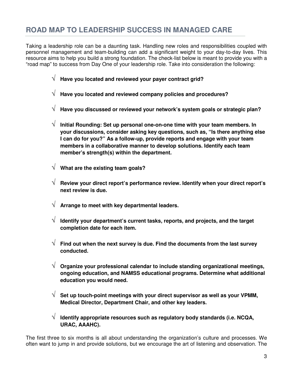# **ROAD MAP TO LEADERSHIP SUCCESS IN MANAGED CARE**

Taking a leadership role can be a daunting task. Handling new roles and responsibilities coupled with personnel management and team-building can add a significant weight to your day-to-day lives. This resource aims to help you build a strong foundation. The check-list below is meant to provide you with a "road map" to success from Day One of your leadership role. Take into consideration the following:

- √ **Have you located and reviewed your payer contract grid?**
- √ **Have you located and reviewed company policies and procedures?**
- √ **Have you discussed or reviewed your network's system goals or strategic plan?**
- √ **Initial Rounding: Set up personal one-on-one time with your team members. In your discussions, consider asking key questions, such as, "Is there anything else I can do for you?" As a follow-up, provide reports and engage with your team members in a collaborative manner to develop solutions. Identify each team member's strength(s) within the department.**
- √ **What are the existing team goals?**
- √ **Review your direct report's performance review. Identify when your direct report's next review is due.**
- √ **Arrange to meet with key departmental leaders.**
- √ **Identify your department's current tasks, reports, and projects, and the target completion date for each item.**
- $\sqrt{\phantom{a}}$  Find out when the next survey is due. Find the documents from the last survey **conducted.**
- √ **Organize your professional calendar to include standing organizational meetings, ongoing education, and NAMSS educational programs. Determine what additional education you would need.**
- √ **Set up touch-point meetings with your direct supervisor as well as your VPMM, Medical Director, Department Chair, and other key leaders.**
- √ **Identify appropriate resources such as regulatory body standards (i.e. NCQA, URAC, AAAHC).**

The first three to six months is all about understanding the organization's culture and processes. We often want to jump in and provide solutions, but we encourage the art of listening and observation. The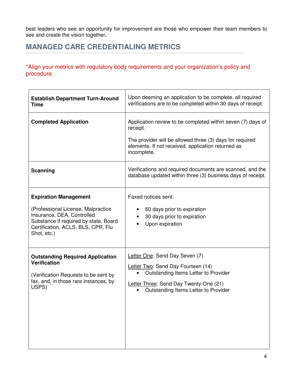best leaders who see an opportunity for improvement are those who empower their team members to see and create the vision together**.** 

## **MANAGED CARE CREDENTIALING METRICS**

\*Align your metrics with regulatory body requirements and your organization's policy and procedure.

| <b>Establish Department Turn-Around</b> | Upon deeming an application to be complete, all required                                                                                                                                                 |  |
|-----------------------------------------|----------------------------------------------------------------------------------------------------------------------------------------------------------------------------------------------------------|--|
| <b>Time</b>                             | verifications are to be completed within 30 days of receipt.                                                                                                                                             |  |
| <b>Completed Application</b>            | Application review to be completed within seven (7) days of<br>receipt.<br>The provider will be allowed three (3) days for required<br>elements. If not received, application returned as<br>incomplete. |  |
| Scanning                                | Verifications and required documents are scanned, and the<br>database updated within three (3) business days of receipt.                                                                                 |  |
| <b>Expiration Management</b>            | Faxed notices sent:                                                                                                                                                                                      |  |
| (Professional License, Malpractice      | 60 days prior to expiration                                                                                                                                                                              |  |
| Insurance, DEA, Controlled              | 30 days prior to expiration                                                                                                                                                                              |  |
| Substance if required by state, Board   | $\bullet$                                                                                                                                                                                                |  |
| Certification, ACLS, BLS, CPR, Flu      | Upon expiration                                                                                                                                                                                          |  |
| Shot, etc.)                             | $\bullet$                                                                                                                                                                                                |  |
| <b>Outstanding Required Application</b> | Letter One: Send Day Seven (7)                                                                                                                                                                           |  |
| <b>Verification</b>                     | Letter Two: Send Day Fourteen (14)                                                                                                                                                                       |  |
| (Verification Requests to be sent by    | Outstanding Items Letter to Provider                                                                                                                                                                     |  |
| fax, and, in those rare instances, by   | Letter Three: Send Day Twenty-One (21)                                                                                                                                                                   |  |
| USPS)                                   | Outstanding Items Letter to Provider                                                                                                                                                                     |  |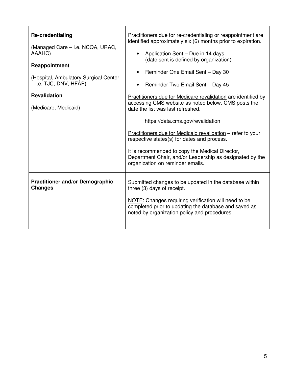| <b>Re-credentialing</b><br>(Managed Care – i.e. NCQA, URAC,<br>AAAHC)<br>Reappointment<br>(Hospital, Ambulatory Surgical Center<br>– i.e. TJC, DNV, HFAP)<br><b>Revalidation</b><br>(Medicare, Medicaid) | Practitioners due for re-credentialing or reappointment are<br>identified approximately six (6) months prior to expiration.<br>Application Sent - Due in 14 days<br>(date sent is defined by organization)<br>Reminder One Email Sent - Day 30<br>Reminder Two Email Sent - Day 45<br>Practitioners due for Medicare revalidation are identified by<br>accessing CMS website as noted below. CMS posts the<br>date the list was last refreshed.<br>https://data.cms.gov/revalidation<br>Practitioners due for Medicaid revalidation – refer to your<br>respective states(s) for dates and process.<br>It is recommended to copy the Medical Director,<br>Department Chair, and/or Leadership as designated by the<br>organization on reminder emails. |
|----------------------------------------------------------------------------------------------------------------------------------------------------------------------------------------------------------|-------------------------------------------------------------------------------------------------------------------------------------------------------------------------------------------------------------------------------------------------------------------------------------------------------------------------------------------------------------------------------------------------------------------------------------------------------------------------------------------------------------------------------------------------------------------------------------------------------------------------------------------------------------------------------------------------------------------------------------------------------|
| <b>Practitioner and/or Demographic</b><br><b>Changes</b>                                                                                                                                                 | Submitted changes to be updated in the database within<br>three (3) days of receipt.<br>NOTE: Changes requiring verification will need to be<br>completed prior to updating the database and saved as<br>noted by organization policy and procedures.                                                                                                                                                                                                                                                                                                                                                                                                                                                                                                 |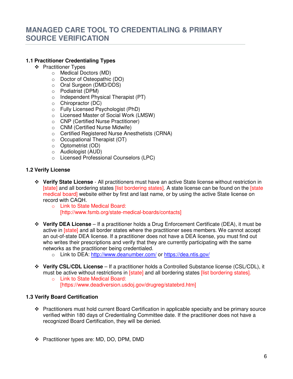#### **1.1 Practitioner Credentialing Types**

- ❖ Practitioner Types
	- o Medical Doctors (MD)
	- o Doctor of Osteopathic (DO)
	- o Oral Surgeon (DMD/DDS)
	- o Podiatrist (DPM)
	- o Independent Physical Therapist (PT)
	- o Chiropractor (DC)
	- o Fully Licensed Psychologist (PhD)
	- o Licensed Master of Social Work (LMSW)
	- o CNP (Certified Nurse Practitioner)
	- o CNM (Certified Nurse Midwife)
	- o Certified Registered Nurse Anesthetists (CRNA)
	- o Occupational Therapist (OT)
	- o Optometrist (OD)
	- o Audiologist (AUD)
	- o Licensed Professional Counselors (LPC)

#### **1.2 Verify License**

- **Verify State License** All practitioners must have an active State license without restriction in [state] and all bordering states [list bordering states]. A state license can be found on the [state] medical board] website either by first and last name, or by using the active State license on record with CAQH.
	- o Link to State Medical Board: [http://www.fsmb.org/state-medical-boards/contacts]
- **Verify DEA License** If a practitioner holds a Drug Enforcement Certificate (DEA), it must be active in [state] and all border states where the practitioner sees members. We cannot accept an out-of-state DEA license. If a practitioner does not have a DEA license, you must find out who writes their prescriptions and verify that they are currently participating with the same networks as the practitioner being credentialed.
	- o Link to DEA: http://www.deanumber.com/ or https://dea.ntis.gov/
- **Verify CSL/CDL License** If a practitioner holds a Controlled Substance license (CSL/CDL), it must be active without restrictions in [state] and all bordering states [list bordering states].
	- o Link to State Medical Board: [https://www.deadiversion.usdoj.gov/drugreg/statebrd.htm]

#### **1.3 Verify Board Certification**

- Practitioners must hold current Board Certification in applicable specialty and be primary source verified within 180 days of Credentialing Committee date. If the practitioner does not have a recognized Board Certification, they will be denied.
- Practitioner types are: MD, DO, DPM, DMD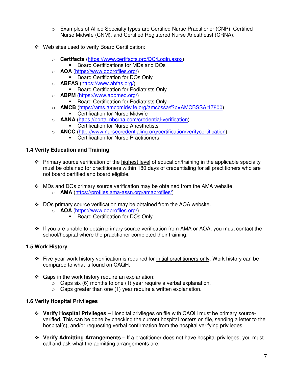- o Examples of Allied Specialty types are Certified Nurse Practitioner (CNP), Certified Nurse Midwife (CNM), and Certified Registered Nurse Anesthetist (CRNA).
- Web sites used to verify Board Certification:
	- o **Certifacts** (https://www.certifacts.org/DC/Login.aspx)
		- Board Certifications for MDs and DOs
	- o **AOA** (https://www.doprofiles.org/)
		- **Board Certification for DOs Only**
	- o **ABFAS** (https://www.abfas.org/)
		- -Board Certification for Podiatrists Only
	- o **ABPM** (https://www.abpmed.org/)
		- **Board Certification for Podiatrists Only**
	- o **AMCB** (https://ams.amcbmidwife.org/amcbssa/f?p=AMCBSSA:17800)
		- **-** Certification for Nurse Midwife
	- o **AANA** (https://portal.nbcrna.com/credential-verification)
		- **EXEC** Certification for Nurse Anesthetists
	- o **ANCC** (http://www.nursecredentialing.org/certification/verifycertification)
		- **EXEC** Certification for Nurse Practitioners

#### **1.4 Verify Education and Training**

- **Primary source verification of the highest level of education/training in the applicable specialty** must be obtained for practitioners within 180 days of credentialing for all practitioners who are not board certified and board eligible.
- \* MDs and DOs primary source verification may be obtained from the AMA website. o **AMA** (https://profiles.ama-assn.org/amaprofiles/)
- DOs primary source verification may be obtained from the AOA website.
	- o **AOA** (https://www.doprofiles.org/)
		- **Board Certification for DOs Only**
- \* If you are unable to obtain primary source verification from AMA or AOA, you must contact the school/hospital where the practitioner completed their training.

#### **1.5 Work History**

- Five-year work history verification is required for initial practitioners only. Work history can be compared to what is found on CAQH.
- $\div$  Gaps in the work history require an explanation:
	- $\circ$  Gaps six (6) months to one (1) year require a verbal explanation.
	- $\circ$  Gaps greater than one (1) year require a written explanation.

#### **1.6 Verify Hospital Privileges**

- **Verify Hospital Privileges** Hospital privileges on file with CAQH must be primary sourceverified. This can be done by checking the current hospital rosters on file, sending a letter to the hospital(s), and/or requesting verbal confirmation from the hospital verifying privileges.
- **Verify Admitting Arrangements** If a practitioner does not have hospital privileges, you must call and ask what the admitting arrangements are.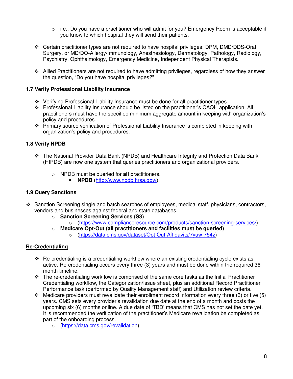- $\circ$  i.e., Do you have a practitioner who will admit for you? Emergency Room is acceptable if you know to which hospital they will send their patients.
- Certain practitioner types are not required to have hospital privileges: DPM, DMD/DDS-Oral Surgery, or MD/DO-Allergy/Immunology, Anesthesiology, Dermatology, Pathology, Radiology, Psychiatry, Ophthalmology, Emergency Medicine, Independent Physical Therapists.
- Allied Practitioners are not required to have admitting privileges, regardless of how they answer the question, "Do you have hospital privileges?"

#### **1.7 Verify Professional Liability Insurance**

- Verifying Professional Liability Insurance must be done for all practitioner types.
- Professional Liability Insurance should be listed on the practitioner's CAQH application. All practitioners must have the specified minimum aggregate amount in keeping with organization's policy and procedures.
- Primary source verification of Professional Liability Insurance is completed in keeping with organization's policy and procedures.

#### **1.8 Verify NPDB**

- The National Provider Data Bank (NPDB) and Healthcare Integrity and Protection Data Bank (HIPDB) are now one system that queries practitioners and organizational providers.
	- o NPDB must be queried for **all** practitioners.
		- **NPDB** (http://www.npdb.hrsa.gov/)

#### **1.9 Query Sanctions**

- Sanction Screening single and batch searches of employees, medical staff, physicians, contractors, vendors and businesses against federal and state databases.
	- o **Sanction Screening Services (S3)** 
		- o (https://www.complianceresource.com/products/sanction-screening-services/)
	- o **Medicare Opt-Out (all practitioners and facilities must be queried)** o (https://data.cms.gov/dataset/Opt-Out-Affidavits/7yuw-754z)

#### **Re-Credentialing**

- Re-credentialing is a credentialing workflow where an existing credentialing cycle exists as active. Re-credentialing occurs every three (3) years and must be done within the required 36 month timeline.
- $\cdot \cdot$  The re-credentialing workflow is comprised of the same core tasks as the Initial Practitioner Credentialing workflow, the Categorization/Issue sheet, plus an additional Record Practitioner Performance task (performed by Quality Management staff) and Utilization review criteria.
- $\cdot \cdot$  Medicare providers must revalidate their enrollment record information every three (3) or five (5) years. CMS sets every provider's revalidation due date at the end of a month and posts the upcoming six (6) months online. A due date of 'TBD' means that CMS has not set the date yet. It is recommended the verification of the practitioner's Medicare revalidation be completed as part of the onboarding process.
	- o (https://data.cms.gov/revalidation)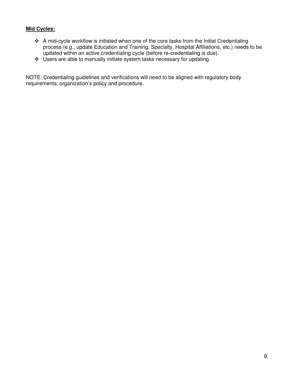#### **Mid Cycles:**

- A mid-cycle workflow is initiated when one of the core tasks from the Initial Credentialing process (e.g., update Education and Training, Specialty, Hospital Affiliations, etc.) needs to be updated within an active credentialing cycle (before re-credentialing is due).
- Users are able to manually initiate system tasks necessary for updating.

NOTE: Credentialing guidelines and verifications will need to be aligned with regulatory body requirements, organization's policy and procedure.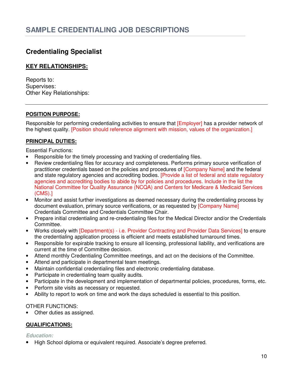### **Credentialing Specialist**

#### **KEY RELATIONSHIPS:**

Reports to: Supervises: Other Key Relationships:

#### **POSITION PURPOSE:**

Responsible for performing credentialing activities to ensure that [Employer] has a provider network of the highest quality. [Position should reference alignment with mission, values of the organization.]

#### **PRINCIPAL DUTIES:**

Essential Functions:

- Responsible for the timely processing and tracking of credentialing files.
- Review credentialing files for accuracy and completeness. Performs primary source verification of practitioner credentials based on the policies and procedures of [Company Name] and the federal and state regulatory agencies and accrediting bodies. [Provide a list of federal and state regulatory agencies and accrediting bodies to abide by for policies and procedures. Include in the list the National Committee for Quality Assurance (NCQA) and Centers for Medicare & Medicaid Services (CMS).]
- Monitor and assist further investigations as deemed necessary during the credentialing process by document evaluation, primary source verifications, or as requested by [Company Name] Credentials Committee and Credentials Committee Chair.
- Prepare initial credentialing and re-credentialing files for the Medical Director and/or the Credentials Committee.
- Works closely with [Department(s) i.e. Provider Contracting and Provider Data Services] to ensure the credentialing application process is efficient and meets established turnaround times.
- Responsible for expirable tracking to ensure all licensing, professional liability, and verifications are current at the time of Committee decision.
- Attend monthly Credentialing Committee meetings, and act on the decisions of the Committee.
- Attend and participate in departmental team meetings.
- Maintain confidential credentialing files and electronic credentialing database.
- Participate in credentialing team quality audits.
- Participate in the development and implementation of departmental policies, procedures, forms, etc.
- Perform site visits as necessary or requested.
- Ability to report to work on time and work the days scheduled is essential to this position.

#### OTHER FUNCTIONS:

• Other duties as assigned.

#### **QUALIFICATIONS:**

#### **Education:**

• High School diploma or equivalent required. Associate's degree preferred.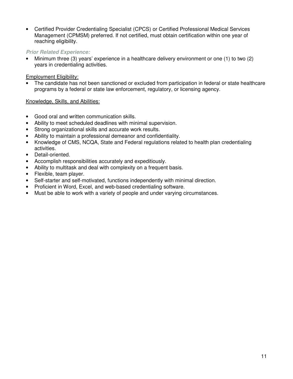• Certified Provider Credentialing Specialist (CPCS) or Certified Professional Medical Services Management (CPMSM) preferred. If not certified, must obtain certification within one year of reaching eligibility.

#### **Prior Related Experience:**

• Minimum three (3) years' experience in a healthcare delivery environment or one (1) to two (2) years in credentialing activities.

#### Employment Eligibility:

The candidate has not been sanctioned or excluded from participation in federal or state healthcare programs by a federal or state law enforcement, regulatory, or licensing agency.

#### Knowledge, Skills, and Abilities:

- Good oral and written communication skills.
- Ability to meet scheduled deadlines with minimal supervision.
- Strong organizational skills and accurate work results.
- Ability to maintain a professional demeanor and confidentiality.
- Knowledge of CMS, NCQA, State and Federal regulations related to health plan credentialing activities.
- Detail-oriented.
- Accomplish responsibilities accurately and expeditiously.
- Ability to multitask and deal with complexity on a frequent basis.
- Flexible, team player.
- Self-starter and self-motivated, functions independently with minimal direction.
- Proficient in Word, Excel, and web-based credentialing software.
- Must be able to work with a variety of people and under varying circumstances.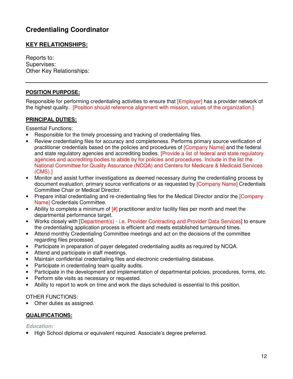# **Credentialing Coordinator**

#### **KEY RELATIONSHIPS:**

Reports to: Supervises: Other Key Relationships:

#### **POSITION PURPOSE:**

Responsible for performing credentialing activities to ensure that [Employer] has a provider network of the highest quality. [Position should reference alignment with mission, values of the organization.]

#### **PRINCIPAL DUTIES:**

Essential Functions:

- Responsible for the timely processing and tracking of credentialing files.
- Review credentialing files for accuracy and completeness. Performs primary source verification of practitioner credentials based on the policies and procedures of [Company Name] and the federal and state regulatory agencies and accrediting bodies. [Provide a list of federal and state regulatory agencies and accrediting bodies to abide by for policies and procedures. Include in the list the National Committee for Quality Assurance (NCQA) and Centers for Medicare & Medicaid Services (CMS).]
- Monitor and assist further investigations as deemed necessary during the credentialing process by document evaluation, primary source verifications or as requested by [Company Name] Credentials Committee Chair or Medical Director.
- Prepare initial credentialing and re-credentialing files for the Medical Director and/or the [Company Name] Credentials Committee.
- Ability to complete a minimum of  $\left[\frac{\mu}{\mu}\right]$  practitioner and/or facility files per month and meet the departmental performance target.
- Works closely with [Department(s) i.e. Provider Contracting and Provider Data Services] to ensure the credentialing application process is efficient and meets established turnaround times.
- Attend monthly Credentialing Committee meetings and act on the decisions of the committee regarding files processed.
- Participate in preparation of payer delegated credentialing audits as required by NCQA.
- Attend and participate in staff meetings.
- Maintain confidential credentialing files and electronic credentialing database.
- Participate in credentialing team quality audits.
- Participate in the development and implementation of departmental policies, procedures, forms, etc.
- Perform site visits as necessary or requested.
- Ability to report to work on time and work the days scheduled is essential to this position.

#### OTHER FUNCTIONS:

• Other duties as assigned.

#### **QUALIFICATIONS:**

**Education:**

• High School diploma or equivalent required. Associate's degree preferred.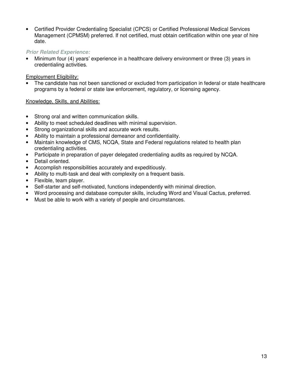• Certified Provider Credentialing Specialist (CPCS) or Certified Professional Medical Services Management (CPMSM) preferred. If not certified, must obtain certification within one year of hire date.

#### **Prior Related Experience:**

• Minimum four (4) years' experience in a healthcare delivery environment or three (3) years in credentialing activities.

#### Employment Eligibility:

The candidate has not been sanctioned or excluded from participation in federal or state healthcare programs by a federal or state law enforcement, regulatory, or licensing agency.

#### Knowledge, Skills, and Abilities:

- Strong oral and written communication skills.
- Ability to meet scheduled deadlines with minimal supervision.
- Strong organizational skills and accurate work results.
- Ability to maintain a professional demeanor and confidentiality.
- Maintain knowledge of CMS, NCQA, State and Federal regulations related to health plan credentialing activities.
- Participate in preparation of payer delegated credentialing audits as required by NCQA.
- Detail oriented.
- Accomplish responsibilities accurately and expeditiously.
- Ability to multi-task and deal with complexity on a frequent basis.
- Flexible, team player.
- Self-starter and self-motivated, functions independently with minimal direction.
- Word processing and database computer skills, including Word and Visual Cactus, preferred.
- Must be able to work with a variety of people and circumstances.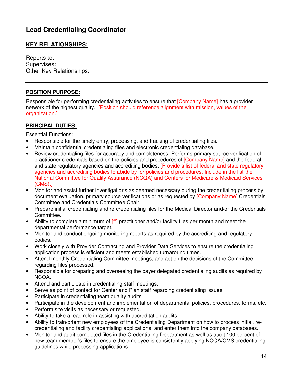# **Lead Credentialing Coordinator**

#### **KEY RELATIONSHIPS:**

Reports to: Supervises: Other Key Relationships:

#### **POSITION PURPOSE:**

Responsible for performing credentialing activities to ensure that [Company Name] has a provider network of the highest quality. [Position should reference alignment with mission, values of the organization.]

#### **PRINCIPAL DUTIES:**

Essential Functions:

- Responsible for the timely entry, processing, and tracking of credentialing files.
- Maintain confidential credentialing files and electronic credentialing database.
- Review credentialing files for accuracy and completeness. Performs primary source verification of practitioner credentials based on the policies and procedures of [Company Name] and the federal and state regulatory agencies and accrediting bodies. [Provide a list of federal and state regulatory agencies and accrediting bodies to abide by for policies and procedures. Include in the list the National Committee for Quality Assurance (NCQA) and Centers for Medicare & Medicaid Services (CMS).]
- Monitor and assist further investigations as deemed necessary during the credentialing process by document evaluation, primary source verifications or as requested by [Company Name] Credentials Committee and Credentials Committee Chair.
- Prepare initial credentialing and re-credentialing files for the Medical Director and/or the Credentials Committee.
- Ability to complete a minimum of  $\left[\frac{\mu}{\mu}\right]$  practitioner and/or facility files per month and meet the departmental performance target.
- Monitor and conduct ongoing monitoring reports as required by the accrediting and regulatory bodies.
- Work closely with Provider Contracting and Provider Data Services to ensure the credentialing application process is efficient and meets established turnaround times.
- Attend monthly Credentialing Committee meetings, and act on the decisions of the Committee regarding files processed.
- Responsible for preparing and overseeing the payer delegated credentialing audits as required by NCQA.
- Attend and participate in credentialing staff meetings.
- Serve as point of contact for Center and Plan staff regarding credentialing issues.
- Participate in credentialing team quality audits.
- Participate in the development and implementation of departmental policies, procedures, forms, etc.
- Perform site visits as necessary or requested.
- Ability to take a lead role in assisting with accreditation audits.
- Ability to train/orient new employees of the Credentialing Department on how to process initial, recredentialing and facility credentialing applications, and enter them into the company databases.
- Monitor and audit completed files in the Credentialing Department as well as audit 100 percent of new team member's files to ensure the employee is consistently applying NCQA/CMS credentialing guidelines while processing applications.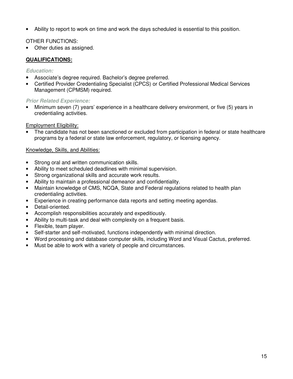• Ability to report to work on time and work the days scheduled is essential to this position.

#### OTHER FUNCTIONS:

• Other duties as assigned.

#### **QUALIFICATIONS:**

#### **Education:**

- Associate's degree required. Bachelor's degree preferred.
- Certified Provider Credentialing Specialist (CPCS) or Certified Professional Medical Services Management (CPMSM) required.

#### **Prior Related Experience:**

• Minimum seven (7) years' experience in a healthcare delivery environment, or five (5) years in credentialing activities.

#### Employment Eligibility:

The candidate has not been sanctioned or excluded from participation in federal or state healthcare programs by a federal or state law enforcement, regulatory, or licensing agency.

#### Knowledge, Skills, and Abilities:

- Strong oral and written communication skills.
- Ability to meet scheduled deadlines with minimal supervision.
- Strong organizational skills and accurate work results.
- Ability to maintain a professional demeanor and confidentiality.
- Maintain knowledge of CMS, NCQA, State and Federal regulations related to health plan credentialing activities.
- Experience in creating performance data reports and setting meeting agendas.
- Detail-oriented.
- Accomplish responsibilities accurately and expeditiously.
- Ability to multi-task and deal with complexity on a frequent basis.
- Flexible, team player.
- Self-starter and self-motivated, functions independently with minimal direction.
- Word processing and database computer skills, including Word and Visual Cactus, preferred.
- Must be able to work with a variety of people and circumstances.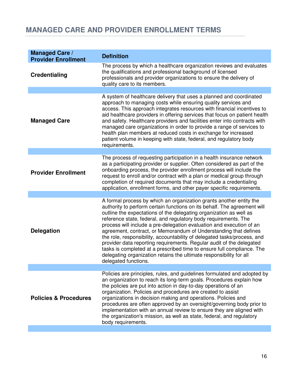# **MANAGED CARE AND PROVIDER ENROLLMENT TERMS**

| <b>Managed Care /</b><br><b>Provider Enrollment</b> | <b>Definition</b>                                                                                                                                                                                                                                                                                                                                                                                                                                                                                                                                                                                                                                                                                                                                                 |
|-----------------------------------------------------|-------------------------------------------------------------------------------------------------------------------------------------------------------------------------------------------------------------------------------------------------------------------------------------------------------------------------------------------------------------------------------------------------------------------------------------------------------------------------------------------------------------------------------------------------------------------------------------------------------------------------------------------------------------------------------------------------------------------------------------------------------------------|
| <b>Credentialing</b>                                | The process by which a healthcare organization reviews and evaluates<br>the qualifications and professional background of licensed<br>professionals and provider organizations to ensure the delivery of<br>quality care to its members.                                                                                                                                                                                                                                                                                                                                                                                                                                                                                                                          |
|                                                     |                                                                                                                                                                                                                                                                                                                                                                                                                                                                                                                                                                                                                                                                                                                                                                   |
| <b>Managed Care</b>                                 | A system of healthcare delivery that uses a planned and coordinated<br>approach to managing costs while ensuring quality services and<br>access. This approach integrates resources with financial incentives to<br>aid healthcare providers in offering services that focus on patient health<br>and safety. Healthcare providers and facilities enter into contracts with<br>managed care organizations in order to provide a range of services to<br>health plan members at reduced costs in exchange for increased<br>patient volume in keeping with state, federal, and regulatory body<br>requirements.                                                                                                                                                     |
|                                                     |                                                                                                                                                                                                                                                                                                                                                                                                                                                                                                                                                                                                                                                                                                                                                                   |
| <b>Provider Enrollment</b>                          | The process of requesting participation in a health insurance network<br>as a participating provider or supplier. Often considered as part of the<br>onboarding process, the provider enrollment process will include the<br>request to enroll and/or contract with a plan or medical group through<br>completion of required documents that may include a credentialing<br>application, enrollment forms, and other payer specific requirements.                                                                                                                                                                                                                                                                                                                 |
|                                                     |                                                                                                                                                                                                                                                                                                                                                                                                                                                                                                                                                                                                                                                                                                                                                                   |
| <b>Delegation</b>                                   | A formal process by which an organization grants another entity the<br>authority to perform certain functions on its behalf. The agreement will<br>outline the expectations of the delegating organization as well as<br>reference state, federal, and regulatory body requirements. The<br>process will include a pre-delegation evaluation and execution of an<br>agreement, contract, or Memorandum of Understanding that defines<br>the role, responsibility, accountability of delegated tasks/process, and<br>provider data reporting requirements. Regular audit of the delegated<br>tasks is completed at a prescribed time to ensure full compliance. The<br>delegating organization retains the ultimate responsibility for all<br>delegated functions. |
|                                                     | Policies are principles, rules, and guidelines formulated and adopted by                                                                                                                                                                                                                                                                                                                                                                                                                                                                                                                                                                                                                                                                                          |
| <b>Policies &amp; Procedures</b>                    | an organization to reach its long-term goals. Procedures explain how<br>the policies are put into action in day-to-day operations of an<br>organization. Policies and procedures are created to assist<br>organizations in decision making and operations. Policies and<br>procedures are often approved by an oversight/governing body prior to<br>implementation with an annual review to ensure they are aligned with<br>the organization's mission, as well as state, federal, and regulatory<br>body requirements.                                                                                                                                                                                                                                           |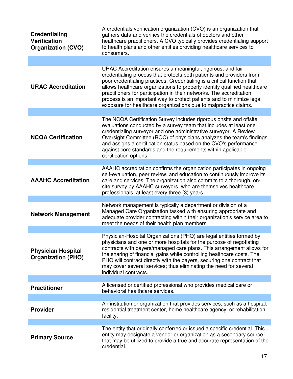| <b>Credentialing</b><br><b>Verification</b><br><b>Organization (CVO)</b> | A credentials verification organization (CVO) is an organization that<br>gathers data and verifies the credentials of doctors and other<br>healthcare practitioners. A CVO typically provides credentialing support<br>to health plans and other entities providing healthcare services to<br>consumers.                                                                                                                                                                                                         |
|--------------------------------------------------------------------------|------------------------------------------------------------------------------------------------------------------------------------------------------------------------------------------------------------------------------------------------------------------------------------------------------------------------------------------------------------------------------------------------------------------------------------------------------------------------------------------------------------------|
|                                                                          |                                                                                                                                                                                                                                                                                                                                                                                                                                                                                                                  |
| <b>URAC Accreditation</b>                                                | URAC Accreditation ensures a meaningful, rigorous, and fair<br>credentialing process that protects both patients and providers from<br>poor credentialing practices. Credentialing is a critical function that<br>allows healthcare organizations to properly identify qualified healthcare<br>practitioners for participation in their networks. The accreditation<br>process is an important way to protect patients and to minimize legal<br>exposure for healthcare organizations due to malpractice claims. |
|                                                                          |                                                                                                                                                                                                                                                                                                                                                                                                                                                                                                                  |
| <b>NCQA Certification</b>                                                | The NCQA Certification Survey includes rigorous onsite and offsite<br>evaluations conducted by a survey team that includes at least one<br>credentialing surveyor and one administrative surveyor. A Review<br>Oversight Committee (ROC) of physicians analyzes the team's findings<br>and assigns a certification status based on the CVO's performance<br>against core standards and the requirements within applicable<br>certification options.                                                              |
|                                                                          |                                                                                                                                                                                                                                                                                                                                                                                                                                                                                                                  |
| <b>AAAHC Accreditation</b>                                               | AAAHC accreditation confirms the organization participates in ongoing<br>self-evaluation, peer review, and education to continuously improve its<br>care and services. The organization also commits to a thorough, on-<br>site survey by AAAHC surveyors, who are themselves healthcare<br>professionals, at least every three (3) years.                                                                                                                                                                       |
| <b>Network Management</b>                                                | Network management is typically a department or division of a<br>Managed Care Organization tasked with ensuring appropriate and<br>adequate provider contracting within their organization's service area to<br>meet the needs of their health plan members.                                                                                                                                                                                                                                                     |
|                                                                          |                                                                                                                                                                                                                                                                                                                                                                                                                                                                                                                  |
| <b>Physician Hospital</b><br><b>Organization (PHO)</b>                   | Physician-Hospital Organizations (PHO) are legal entities formed by<br>physicians and one or more hospitals for the purpose of negotiating<br>contracts with payers/managed care plans. This arrangement allows for<br>the sharing of financial gains while controlling healthcare costs. The<br>PHO will contract directly with the payers, securing one contract that<br>may cover several services; thus eliminating the need for several<br>individual contracts.                                            |
|                                                                          | A licensed or certified professional who provides medical care or                                                                                                                                                                                                                                                                                                                                                                                                                                                |
| <b>Practitioner</b>                                                      | behavioral healthcare services.                                                                                                                                                                                                                                                                                                                                                                                                                                                                                  |
|                                                                          | An institution or organization that provides services, such as a hospital,                                                                                                                                                                                                                                                                                                                                                                                                                                       |
| <b>Provider</b>                                                          | residential treatment center, home healthcare agency, or rehabilitation<br>facility.                                                                                                                                                                                                                                                                                                                                                                                                                             |
|                                                                          |                                                                                                                                                                                                                                                                                                                                                                                                                                                                                                                  |
| <b>Primary Source</b>                                                    | The entity that originally conferred or issued a specific credential. This<br>entity may designate a vendor or organization as a secondary source<br>that may be utilized to provide a true and accurate representation of the<br>credential.                                                                                                                                                                                                                                                                    |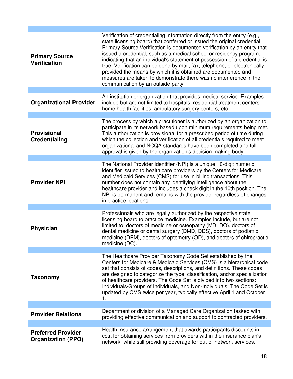| <b>Primary Source</b><br><b>Verification</b>           | Verification of credentialing information directly from the entity (e.g.,<br>state licensing board) that conferred or issued the original credential.<br>Primary Source Verification is documented verification by an entity that<br>issued a credential, such as a medical school or residency program,<br>indicating that an individual's statement of possession of a credential is<br>true. Verification can be done by mail, fax, telephone, or electronically,<br>provided the means by which it is obtained are documented and<br>measures are taken to demonstrate there was no interference in the<br>communication by an outside party. |
|--------------------------------------------------------|---------------------------------------------------------------------------------------------------------------------------------------------------------------------------------------------------------------------------------------------------------------------------------------------------------------------------------------------------------------------------------------------------------------------------------------------------------------------------------------------------------------------------------------------------------------------------------------------------------------------------------------------------|
|                                                        |                                                                                                                                                                                                                                                                                                                                                                                                                                                                                                                                                                                                                                                   |
| <b>Organizational Provider</b>                         | An institution or organization that provides medical service. Examples<br>include but are not limited to hospitals, residential treatment centers,<br>home health facilities, ambulatory surgery centers, etc.                                                                                                                                                                                                                                                                                                                                                                                                                                    |
|                                                        |                                                                                                                                                                                                                                                                                                                                                                                                                                                                                                                                                                                                                                                   |
| <b>Provisional</b><br><b>Credentialing</b>             | The process by which a practitioner is authorized by an organization to<br>participate in its network based upon minimum requirements being met.<br>This authorization is provisional for a prescribed period of time during<br>which the collection and verification of all credentials required to meet<br>organizational and NCQA standards have been completed and full<br>approval is given by the organization's decision-making body.                                                                                                                                                                                                      |
|                                                        |                                                                                                                                                                                                                                                                                                                                                                                                                                                                                                                                                                                                                                                   |
| <b>Provider NPI</b>                                    | The National Provider Identifier (NPI) is a unique 10-digit numeric<br>identifier issued to health care providers by the Centers for Medicare<br>and Medicaid Services (CMS) for use in billing transactions. This<br>number does not contain any identifying intelligence about the<br>healthcare provider and includes a check digit in the 10th position. The<br>NPI is permanent and remains with the provider regardless of changes<br>in practice locations.                                                                                                                                                                                |
|                                                        |                                                                                                                                                                                                                                                                                                                                                                                                                                                                                                                                                                                                                                                   |
| <b>Physician</b>                                       | Professionals who are legally authorized by the respective state<br>licensing board to practice medicine. Examples include, but are not<br>limited to, doctors of medicine or osteopathy (MD, DO), doctors of<br>dental medicine or dental surgery (DMD, DDS), doctors of podiatric<br>medicine (DPM), doctors of optometry (OD), and doctors of chiropractic<br>medicine (DC).                                                                                                                                                                                                                                                                   |
| <b>Taxonomy</b>                                        | The Healthcare Provider Taxonomy Code Set established by the<br>Centers for Medicare & Medicaid Services (CMS) is a hierarchical code<br>set that consists of codes, descriptions, and definitions. These codes<br>are designed to categorize the type, classification, and/or specialization<br>of healthcare providers. The Code Set is divided into two sections:<br>Individuals/Groups of Individuals, and Non-Individuals. The Code Set is<br>updated by CMS twice per year, typically effective April 1 and October<br>1.                                                                                                                   |
|                                                        |                                                                                                                                                                                                                                                                                                                                                                                                                                                                                                                                                                                                                                                   |
| <b>Provider Relations</b>                              | Department or division of a Managed Care Organization tasked with<br>providing effective communication and support to contracted providers.                                                                                                                                                                                                                                                                                                                                                                                                                                                                                                       |
|                                                        |                                                                                                                                                                                                                                                                                                                                                                                                                                                                                                                                                                                                                                                   |
| <b>Preferred Provider</b><br><b>Organization (PPO)</b> | Health insurance arrangement that awards participants discounts in<br>cost for obtaining services from providers within the insurance plan's<br>network, while still providing coverage for out-of-network services.                                                                                                                                                                                                                                                                                                                                                                                                                              |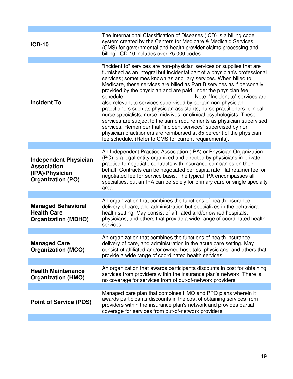| <b>ICD-10</b>                                                                                     | The International Classification of Diseases (ICD) is a billing code<br>system created by the Centers for Medicare & Medicaid Services<br>(CMS) for governmental and health provider claims processing and<br>billing. ICD-10 includes over 75,000 codes.                                                                                                                                                                                                                                                                                                                                                                                                                                                                                                                                                                                                                                                                |
|---------------------------------------------------------------------------------------------------|--------------------------------------------------------------------------------------------------------------------------------------------------------------------------------------------------------------------------------------------------------------------------------------------------------------------------------------------------------------------------------------------------------------------------------------------------------------------------------------------------------------------------------------------------------------------------------------------------------------------------------------------------------------------------------------------------------------------------------------------------------------------------------------------------------------------------------------------------------------------------------------------------------------------------|
| <b>Incident To</b>                                                                                | "Incident to" services are non-physician services or supplies that are<br>furnished as an integral but incidental part of a physician's professional<br>services; sometimes known as ancillary services. When billed to<br>Medicare, these services are billed as Part B services as if personally<br>provided by the physician and are paid under the physician fee<br>Note: "Incident to" services are<br>schedule.<br>also relevant to services supervised by certain non-physician<br>practitioners such as physician assistants, nurse practitioners, clinical<br>nurse specialists, nurse midwives, or clinical psychologists. These<br>services are subject to the same requirements as physician-supervised<br>services. Remember that "incident services" supervised by non-<br>physician practitioners are reimbursed at 85 percent of the physician<br>fee schedule. (Refer to CMS for current requirements). |
|                                                                                                   |                                                                                                                                                                                                                                                                                                                                                                                                                                                                                                                                                                                                                                                                                                                                                                                                                                                                                                                          |
| <b>Independent Physician</b><br><b>Association</b><br>(IPA)/Physician<br><b>Organization (PO)</b> | An Independent Practice Association (IPA) or Physician Organization<br>(PO) is a legal entity organized and directed by physicians in private<br>practice to negotiate contracts with insurance companies on their<br>behalf. Contracts can be negotiated per capita rate, flat retainer fee, or<br>negotiated fee-for-service basis. The typical IPA encompasses all<br>specialties, but an IPA can be solely for primary care or single specialty<br>area.                                                                                                                                                                                                                                                                                                                                                                                                                                                             |
|                                                                                                   |                                                                                                                                                                                                                                                                                                                                                                                                                                                                                                                                                                                                                                                                                                                                                                                                                                                                                                                          |
| <b>Managed Behavioral</b><br><b>Health Care</b><br><b>Organization (MBHO)</b>                     | An organization that combines the functions of health insurance,<br>delivery of care, and administration but specializes in the behavioral<br>health setting. May consist of affiliated and/or owned hospitals,<br>physicians, and others that provide a wide range of coordinated health<br>services.                                                                                                                                                                                                                                                                                                                                                                                                                                                                                                                                                                                                                   |
| <b>Managed Care</b><br><b>Organization (MCO)</b>                                                  | An organization that combines the functions of health insurance,<br>delivery of care, and administration in the acute care setting. May<br>consist of affiliated and/or owned hospitals, physicians, and others that<br>provide a wide range of coordinated health services.                                                                                                                                                                                                                                                                                                                                                                                                                                                                                                                                                                                                                                             |
|                                                                                                   |                                                                                                                                                                                                                                                                                                                                                                                                                                                                                                                                                                                                                                                                                                                                                                                                                                                                                                                          |
| <b>Health Maintenance</b><br><b>Organization (HMO)</b>                                            | An organization that awards participants discounts in cost for obtaining<br>services from providers within the insurance plan's network. There is<br>no coverage for services from of out-of-network providers.                                                                                                                                                                                                                                                                                                                                                                                                                                                                                                                                                                                                                                                                                                          |
|                                                                                                   |                                                                                                                                                                                                                                                                                                                                                                                                                                                                                                                                                                                                                                                                                                                                                                                                                                                                                                                          |
| <b>Point of Service (POS)</b>                                                                     | Managed care plan that combines HMO and PPO plans wherein it<br>awards participants discounts in the cost of obtaining services from<br>providers within the insurance plan's network and provides partial<br>coverage for services from out-of-network providers.                                                                                                                                                                                                                                                                                                                                                                                                                                                                                                                                                                                                                                                       |
|                                                                                                   |                                                                                                                                                                                                                                                                                                                                                                                                                                                                                                                                                                                                                                                                                                                                                                                                                                                                                                                          |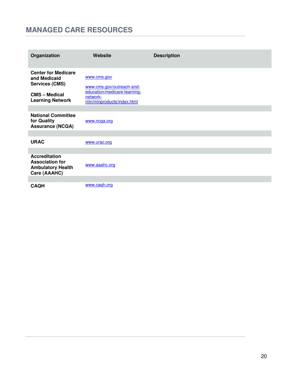# **MANAGED CARE RESOURCES**

| Organization                                                                                                         | Website                                                                                                            | <b>Description</b> |
|----------------------------------------------------------------------------------------------------------------------|--------------------------------------------------------------------------------------------------------------------|--------------------|
| <b>Center for Medicare</b><br>and Medicaid<br><b>Services (CMS)</b><br><b>CMS-Medical</b><br><b>Learning Network</b> | www.cms.gov<br>www.cms.gov/outreach-and-<br>education/medicare-learning-<br>network-<br>mln/mlnproducts/index.html |                    |
|                                                                                                                      |                                                                                                                    |                    |
| <b>National Committee</b><br>for Quality<br><b>Assurance (NCQA)</b>                                                  | www.ncqa.org                                                                                                       |                    |
|                                                                                                                      |                                                                                                                    |                    |
| <b>URAC</b>                                                                                                          | www.urac.org                                                                                                       |                    |
|                                                                                                                      |                                                                                                                    |                    |
| <b>Accreditation</b><br><b>Association for</b><br><b>Ambulatory Health</b><br>Care (AAAHC)                           | www.aaahc.org                                                                                                      |                    |
|                                                                                                                      |                                                                                                                    |                    |
| <b>CAQH</b>                                                                                                          | www.cagh.org                                                                                                       |                    |